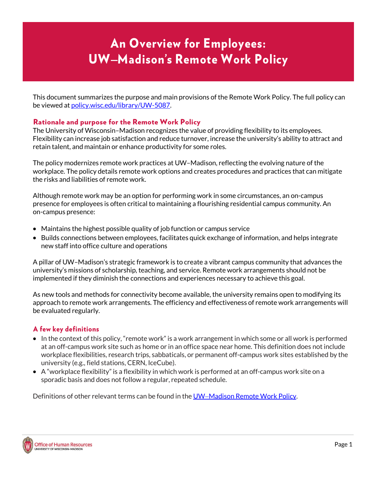# An Overview for Employees: UW−Madison's Remote Work Policy

This document summarizes the purpose and main provisions of the Remote Work Policy. The full policy can be viewed a[t policy.wisc.edu/library/UW-5087.](https://policy.wisc.edu/library/UW-5087)

# Rationale and purpose for the Remote Work Policy

The University of Wisconsin–Madison recognizes the value of providing flexibility to its employees. Flexibility can increase job satisfaction and reduce turnover, increase the university's ability to attract and retain talent, and maintain or enhance productivity for some roles.

The policy modernizes remote work practices at UW–Madison, reflecting the evolving nature of the workplace. The policy details remote work options and creates procedures and practices that can mitigate the risks and liabilities of remote work.

Although remote work may be an option for performing work in some circumstances, an on-campus presence for employees is often critical to maintaining a flourishing residential campus community. An on-campus presence:

- Maintains the highest possible quality of job function or campus service
- Builds connections between employees, facilitates quick exchange of information, and helps integrate new staff into office culture and operations

A pillar of UW–Madison's strategic framework is to create a vibrant campus community that advances the university's missions of scholarship, teaching, and service. Remote work arrangements should not be implemented if they diminish the connections and experiences necessary to achieve this goal.

As new tools and methods for connectivity become available, the university remains open to modifying its approach to remote work arrangements. The efficiency and effectiveness of remote work arrangements will be evaluated regularly.

# A few key definitions

- In the context of this policy, "remote work" is a work arrangement in which some or all work is performed at an off-campus work site such as home or in an office space near home. This definition does not include workplace flexibilities, research trips, sabbaticals, or permanent off-campus work sites established by the university (e.g., field stations, CERN, IceCube).
- A "workplace flexibility" is a flexibility in which work is performed at an off-campus work site on a sporadic basis and does not follow a regular, repeated schedule.

Definitions of other relevant terms can be found in the UW−[Madison Remote Work Policy.](https://policy.wisc.edu/library/UW-5087)

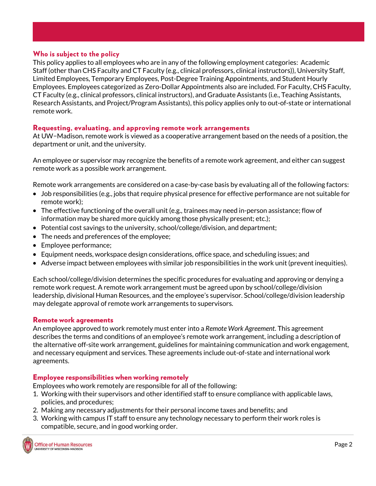# Who is subject to the policy

This policy applies to all employees who are in any of the following employment categories: Academic Staff (other than CHS Faculty and CT Faculty (e.g., clinical professors, clinical instructors)), University Staff, Limited Employees, Temporary Employees, Post-Degree Training Appointments, and Student Hourly Employees. Employees categorized as Zero-Dollar Appointments also are included. For Faculty, CHS Faculty, CT Faculty (e.g., clinical professors, clinical instructors), and Graduate Assistants (i.e., Teaching Assistants, Research Assistants, and Project/Program Assistants), this policy applies only to out-of-state or international remote work.

# Requesting, evaluating, and approving remote work arrangements

At UW−Madison, remote work is viewed as a cooperative arrangement based on the needs of a position, the department or unit, and the university.

An employee or supervisor may recognize the benefits of a remote work agreement, and either can suggest remote work as a possible work arrangement.

Remote work arrangements are considered on a case-by-case basis by evaluating all of the following factors:

- Job responsibilities (e.g., jobs that require physical presence for effective performance are not suitable for remote work);
- The effective functioning of the overall unit (e.g., trainees may need in-person assistance; flow of information may be shared more quickly among those physically present; etc.);
- Potential cost savings to the university, school/college/division, and department;
- The needs and preferences of the employee;
- Employee performance;
- Equipment needs, workspace design considerations, office space, and scheduling issues; and
- Adverse impact between employees with similar job responsibilities in the work unit (prevent inequities).

Each school/college/division determines the specific procedures for evaluating and approving or denying a remote work request. A remote work arrangement must be agreed upon by school/college/division leadership, divisional Human Resources, and the employee's supervisor. School/college/division leadership may delegate approval of remote work arrangements to supervisors.

#### Remote work agreements

An employee approved to work remotely must enter into a *Remote Work Agreement*. This agreement describes the terms and conditions of an employee's remote work arrangement, including a description of the alternative off-site work arrangement, guidelines for maintaining communication and work engagement, and necessary equipment and services. These agreements include out-of-state and international work agreements.

#### Employee responsibilities when working remotely

Employees who work remotely are responsible for all of the following:

- 1. Working with their supervisors and other identified staff to ensure compliance with applicable laws, policies, and procedures;
- 2. Making any necessary adjustments for their personal income taxes and benefits; and
- 3. Working with campus IT staff to ensure any technology necessary to perform their work roles is compatible, secure, and in good working order.